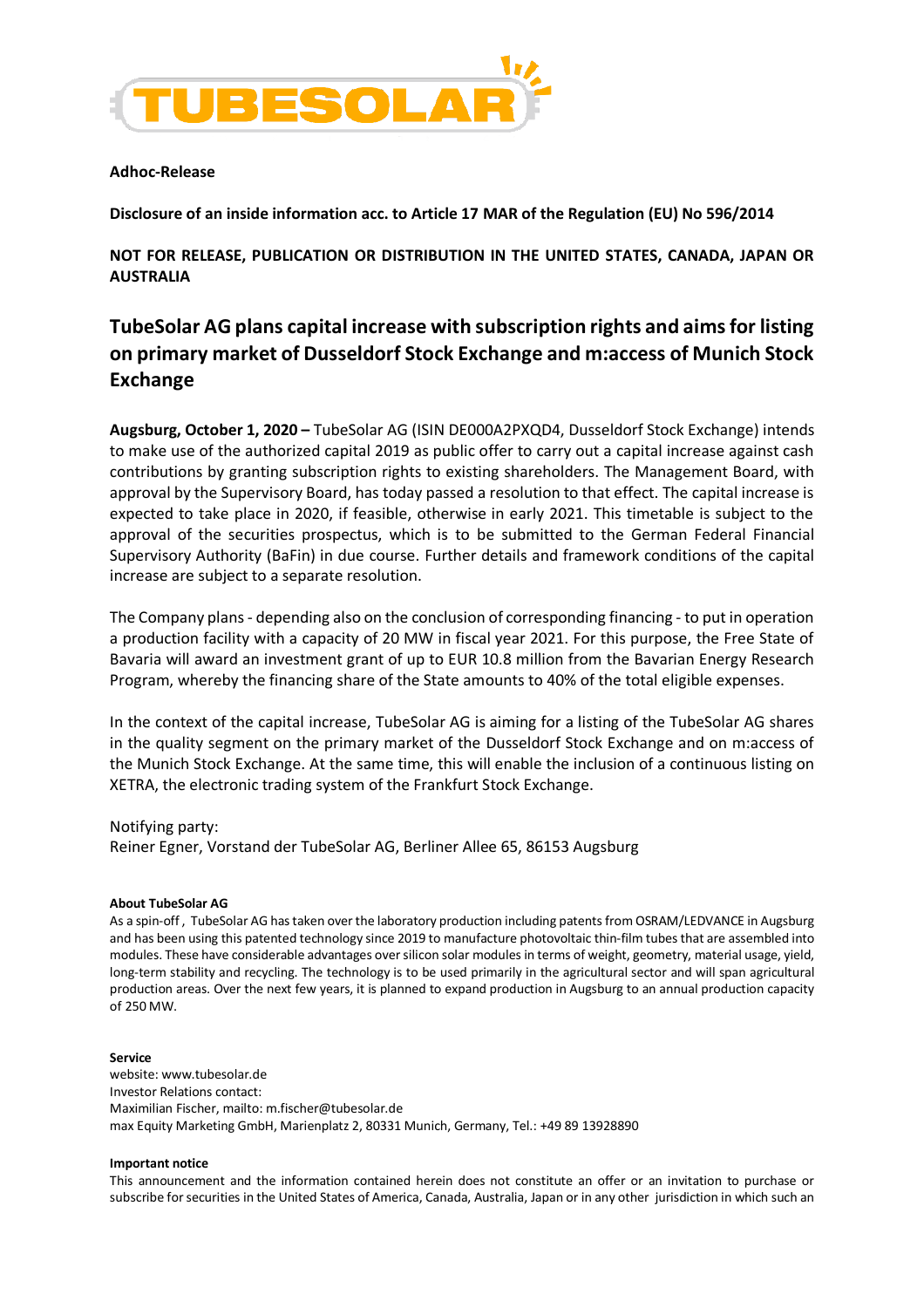

## **Adhoc-Release**

**Disclosure of an inside information acc. to Article 17 MAR of the Regulation (EU) No 596/2014**

**NOT FOR RELEASE, PUBLICATION OR DISTRIBUTION IN THE UNITED STATES, CANADA, JAPAN OR AUSTRALIA**

# **TubeSolar AG plans capital increase with subscription rights and aims for listing on primary market of Dusseldorf Stock Exchange and m:access of Munich Stock Exchange**

**Augsburg, October 1, 2020 –** TubeSolar AG (ISIN DE000A2PXQD4, Dusseldorf Stock Exchange) intends to make use of the authorized capital 2019 as public offer to carry out a capital increase against cash contributions by granting subscription rights to existing shareholders. The Management Board, with approval by the Supervisory Board, has today passed a resolution to that effect. The capital increase is expected to take place in 2020, if feasible, otherwise in early 2021. This timetable is subject to the approval of the securities prospectus, which is to be submitted to the German Federal Financial Supervisory Authority (BaFin) in due course. Further details and framework conditions of the capital increase are subject to a separate resolution.

The Company plans - depending also on the conclusion of corresponding financing - to put in operation a production facility with a capacity of 20 MW in fiscal year 2021. For this purpose, the Free State of Bavaria will award an investment grant of up to EUR 10.8 million from the Bavarian Energy Research Program, whereby the financing share of the State amounts to 40% of the total eligible expenses.

In the context of the capital increase, TubeSolar AG is aiming for a listing of the TubeSolar AG shares in the quality segment on the primary market of the Dusseldorf Stock Exchange and on m:access of the Munich Stock Exchange. At the same time, this will enable the inclusion of a continuous listing on XETRA, the electronic trading system of the Frankfurt Stock Exchange.

## Notifying party:

Reiner Egner, Vorstand der TubeSolar AG, Berliner Allee 65, 86153 Augsburg

## **About TubeSolar AG**

As a spin-off , TubeSolar AG has taken over the laboratory production including patents from OSRAM/LEDVANCE in Augsburg and has been using this patented technology since 2019 to manufacture photovoltaic thin-film tubes that are assembled into modules. These have considerable advantages over silicon solar modules in terms of weight, geometry, material usage, yield, long-term stability and recycling. The technology is to be used primarily in the agricultural sector and will span agricultural production areas. Over the next few years, it is planned to expand production in Augsburg to an annual production capacity of 250 MW.

#### **Service**

website: www.tubesolar.de Investor Relations contact: Maximilian Fischer, mailto: m.fischer@tubesolar.de max Equity Marketing GmbH, Marienplatz 2, 80331 Munich, Germany, Tel.: +49 89 13928890

#### **Important notice**

This announcement and the information contained herein does not constitute an offer or an invitation to purchase or subscribe for securities in the United States of America, Canada, Australia, Japan or in any other jurisdiction in which such an